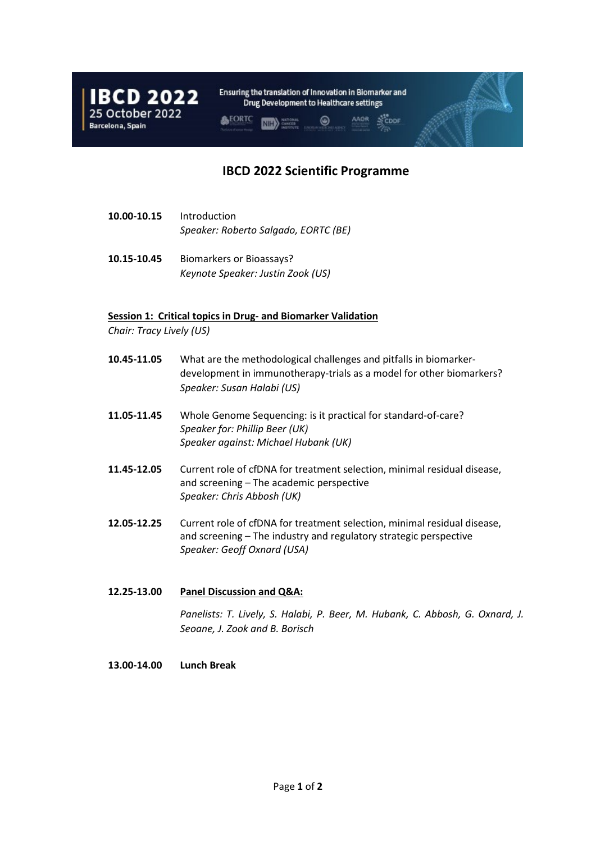

## **IBCD 2022 Scientific Programme**

- **10.00-10.15** Introduction *Speaker: Roberto Salgado, EORTC (BE)*
- **10.15-10.45** Biomarkers or Bioassays? *Keynote Speaker: Justin Zook (US)*

## **Session 1: Critical topics in Drug- and Biomarker Validation**

*Chair: Tracy Lively (US)*

- **10.45-11.05** What are the methodological challenges and pitfalls in biomarkerdevelopment in immunotherapy-trials as a model for other biomarkers? *Speaker: Susan Halabi (US)*
- **11.05-11.45** Whole Genome Sequencing: is it practical for standard-of-care? *Speaker for: Phillip Beer (UK) Speaker against: Michael Hubank (UK)*
- **11.45-12.05** Current role of cfDNA for treatment selection, minimal residual disease, and screening – The academic perspective *Speaker: Chris Abbosh (UK)*
- **12.05-12.25** Current role of cfDNA for treatment selection, minimal residual disease, and screening – The industry and regulatory strategic perspective *Speaker: Geoff Oxnard (USA)*
- **12.25-13.00 Panel Discussion and Q&A:** *Panelists: T. Lively, S. Halabi, P. Beer, M. Hubank, C. Abbosh, G. Oxnard, J. Seoane, J. Zook and B. Borisch*

## **13.00-14.00 Lunch Break**